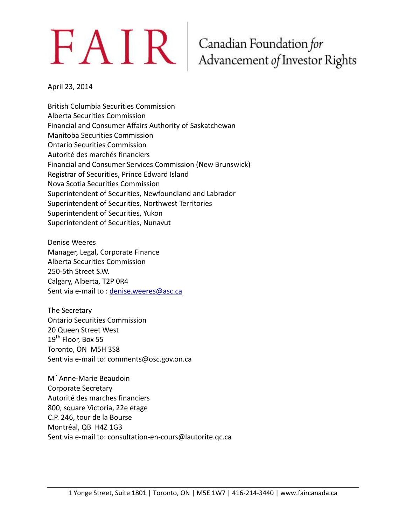# $FAN$ R Canadian Foundation for<br>Advancement of Investor Rights

April 23, 2014

British Columbia Securities Commission Alberta Securities Commission Financial and Consumer Affairs Authority of Saskatchewan Manitoba Securities Commission Ontario Securities Commission Autorité des marchés financiers Financial and Consumer Services Commission (New Brunswick) Registrar of Securities, Prince Edward Island Nova Scotia Securities Commission Superintendent of Securities, Newfoundland and Labrador Superintendent of Securities, Northwest Territories Superintendent of Securities, Yukon Superintendent of Securities, Nunavut

Denise Weeres Manager, Legal, Corporate Finance Alberta Securities Commission 250-5th Street S.W. Calgary, Alberta, T2P 0R4 Sent via e-mail to : [denise.weeres@asc.ca](mailto:denise.weeres@asc.ca)

The Secretary Ontario Securities Commission 20 Queen Street West 19<sup>th</sup> Floor, Box 55 Toronto, ON M5H 3S8 Sent via e-mail to: comments@osc.gov.on.ca

M<sup>e</sup> Anne-Marie Beaudoin Corporate Secretary Autorité des marches financiers 800, square Victoria, 22e étage C.P. 246, tour de la Bourse Montréal, QB H4Z 1G3 Sent via e-mail to: consultation-en-cours@lautorite.qc.ca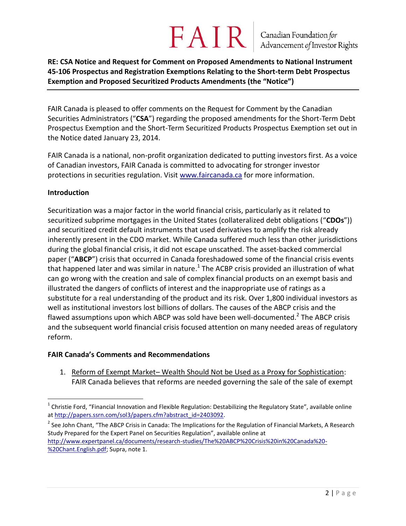# FAIR

**RE: CSA Notice and Request for Comment on Proposed Amendments to National Instrument 45-106 Prospectus and Registration Exemptions Relating to the Short-term Debt Prospectus Exemption and Proposed Securitized Products Amendments (the "Notice")**

FAIR Canada is pleased to offer comments on the Request for Comment by the Canadian Securities Administrators ("**CSA**") regarding the proposed amendments for the Short-Term Debt Prospectus Exemption and the Short-Term Securitized Products Prospectus Exemption set out in the Notice dated January 23, 2014.

FAIR Canada is a national, non-profit organization dedicated to putting investors first. As a voice of Canadian investors, FAIR Canada is committed to advocating for stronger investor protections in securities regulation. Visit [www.faircanada.ca](http://www.faircanada.ca/) for more information.

#### **Introduction**

Securitization was a major factor in the world financial crisis, particularly as it related to securitized subprime mortgages in the United States (collateralized debt obligations ("**CDOs**")) and securitized credit default instruments that used derivatives to amplify the risk already inherently present in the CDO market. While Canada suffered much less than other jurisdictions during the global financial crisis, it did not escape unscathed. The asset-backed commercial paper ("**ABCP**") crisis that occurred in Canada foreshadowed some of the financial crisis events that happened later and was similar in nature.<sup>1</sup> The ACBP crisis provided an illustration of what can go wrong with the creation and sale of complex financial products on an exempt basis and illustrated the dangers of conflicts of interest and the inappropriate use of ratings as a substitute for a real understanding of the product and its risk. Over 1,800 individual investors as well as institutional investors lost billions of dollars. The causes of the ABCP crisis and the flawed assumptions upon which ABCP was sold have been well-documented.<sup>2</sup> The ABCP crisis and the subsequent world financial crisis focused attention on many needed areas of regulatory reform.

#### **FAIR Canada's Comments and Recommendations**

1. Reform of Exempt Market– Wealth Should Not be Used as a Proxy for Sophistication: FAIR Canada believes that reforms are needed governing the sale of the sale of exempt

 $\overline{a}$ <sup>1</sup> Christie Ford, "Financial Innovation and Flexible Regulation: Destabilizing the Regulatory State", available online a[t http://papers.ssrn.com/sol3/papers.cfm?abstract\\_id=2403092.](http://papers.ssrn.com/sol3/papers.cfm?abstract_id=2403092)

<sup>&</sup>lt;sup>2</sup> See John Chant, "The ABCP Crisis in Canada: The Implications for the Regulation of Financial Markets, A Research Study Prepared for the Expert Panel on Securities Regulation", available online at [http://www.expertpanel.ca/documents/research-studies/The%20ABCP%20Crisis%20in%20Canada%20-](http://www.expertpanel.ca/documents/research-studies/The%20ABCP%20Crisis%20in%20Canada%20-%20Chant.English.pdf) [%20Chant.English.pdf;](http://www.expertpanel.ca/documents/research-studies/The%20ABCP%20Crisis%20in%20Canada%20-%20Chant.English.pdf) Supra, note 1.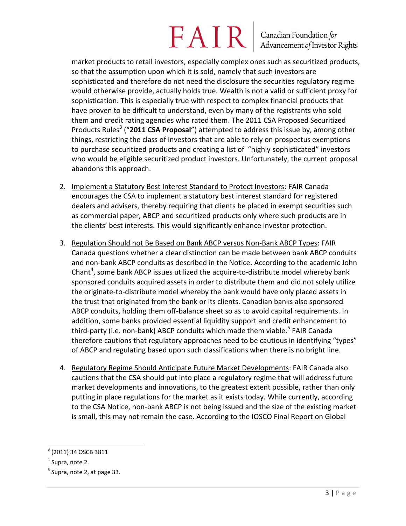# **FAIR** Canadian Foundation for

market products to retail investors, especially complex ones such as securitized products, so that the assumption upon which it is sold, namely that such investors are sophisticated and therefore do not need the disclosure the securities regulatory regime would otherwise provide, actually holds true. Wealth is not a valid or sufficient proxy for sophistication. This is especially true with respect to complex financial products that have proven to be difficult to understand, even by many of the registrants who sold them and credit rating agencies who rated them. The 2011 CSA Proposed Securitized Products Rules<sup>3</sup> ("2011 CSA Proposal") attempted to address this issue by, among other things, restricting the class of investors that are able to rely on prospectus exemptions to purchase securitized products and creating a list of "highly sophisticated" investors who would be eligible securitized product investors. Unfortunately, the current proposal abandons this approach.

- 2. Implement a Statutory Best Interest Standard to Protect Investors: FAIR Canada encourages the CSA to implement a statutory best interest standard for registered dealers and advisers, thereby requiring that clients be placed in exempt securities such as commercial paper, ABCP and securitized products only where such products are in the clients' best interests. This would significantly enhance investor protection.
- 3. Regulation Should not Be Based on Bank ABCP versus Non-Bank ABCP Types: FAIR Canada questions whether a clear distinction can be made between bank ABCP conduits and non-bank ABCP conduits as described in the Notice. According to the academic John Chant<sup>4</sup>, some bank ABCP issues utilized the acquire-to-distribute model whereby bank sponsored conduits acquired assets in order to distribute them and did not solely utilize the originate-to-distribute model whereby the bank would have only placed assets in the trust that originated from the bank or its clients. Canadian banks also sponsored ABCP conduits, holding them off-balance sheet so as to avoid capital requirements. In addition, some banks provided essential liquidity support and credit enhancement to third-party (i.e. non-bank) ABCP conduits which made them viable.<sup>5</sup> FAIR Canada therefore cautions that regulatory approaches need to be cautious in identifying "types" of ABCP and regulating based upon such classifications when there is no bright line.
- 4. Regulatory Regime Should Anticipate Future Market Developments: FAIR Canada also cautions that the CSA should put into place a regulatory regime that will address future market developments and innovations, to the greatest extent possible, rather than only putting in place regulations for the market as it exists today. While currently, according to the CSA Notice, non-bank ABCP is not being issued and the size of the existing market is small, this may not remain the case. According to the IOSCO Final Report on Global

 $\overline{a}$ 

 $^3$  (2011) 34 OSCB 3811

<sup>&</sup>lt;sup>4</sup> Supra, note 2.

<sup>&</sup>lt;sup>5</sup> Supra, note 2, at page 33.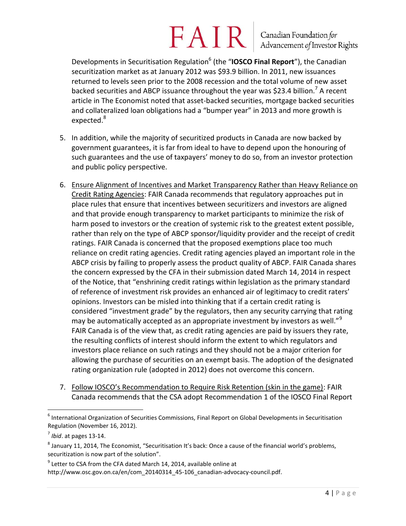# $FAN$  R  $\vert$  Canadian Foundation for

Developments in Securitisation Regulation<sup>6</sup> (the "IOSCO Final Report"), the Canadian securitization market as at January 2012 was \$93.9 billion. In 2011, new issuances returned to levels seen prior to the 2008 recession and the total volume of new asset backed securities and ABCP issuance throughout the year was \$23.4 billion.<sup>7</sup> A recent article in The Economist noted that asset-backed securities, mortgage backed securities and collateralized loan obligations had a "bumper year" in 2013 and more growth is expected.<sup>8</sup>

- 5. In addition, while the majority of securitized products in Canada are now backed by government guarantees, it is far from ideal to have to depend upon the honouring of such guarantees and the use of taxpayers' money to do so, from an investor protection and public policy perspective.
- 6. Ensure Alignment of Incentives and Market Transparency Rather than Heavy Reliance on Credit Rating Agencies: FAIR Canada recommends that regulatory approaches put in place rules that ensure that incentives between securitizers and investors are aligned and that provide enough transparency to market participants to minimize the risk of harm posed to investors or the creation of systemic risk to the greatest extent possible, rather than rely on the type of ABCP sponsor/liquidity provider and the receipt of credit ratings. FAIR Canada is concerned that the proposed exemptions place too much reliance on credit rating agencies. Credit rating agencies played an important role in the ABCP crisis by failing to properly assess the product quality of ABCP. FAIR Canada shares the concern expressed by the CFA in their submission dated March 14, 2014 in respect of the Notice, that "enshrining credit ratings within legislation as the primary standard of reference of investment risk provides an enhanced air of legitimacy to credit raters' opinions. Investors can be misled into thinking that if a certain credit rating is considered "investment grade" by the regulators, then any security carrying that rating may be automatically accepted as an appropriate investment by investors as well."<sup>9</sup> FAIR Canada is of the view that, as credit rating agencies are paid by issuers they rate, the resulting conflicts of interest should inform the extent to which regulators and investors place reliance on such ratings and they should not be a major criterion for allowing the purchase of securities on an exempt basis. The adoption of the designated rating organization rule (adopted in 2012) does not overcome this concern.
- 7. Follow IOSCO's Recommendation to Require Risk Retention (skin in the game): FAIR Canada recommends that the CSA adopt Recommendation 1 of the IOSCO Final Report

 $\overline{a}$ 

 $<sup>6</sup>$  International Organization of Securities Commissions, Final Report on Global Developments in Securitisation</sup> Regulation (November 16, 2012).

<sup>7</sup> *Ibid*. at pages 13-14.

 $^8$  January 11, 2014, The Economist, "Securitisation It's back: Once a cause of the financial world's problems, securitization is now part of the solution".

 $^9$  Letter to CSA from the CFA dated March 14, 2014, available online at http://www.osc.gov.on.ca/en/com\_20140314\_45-106\_canadian-advocacy-council.pdf.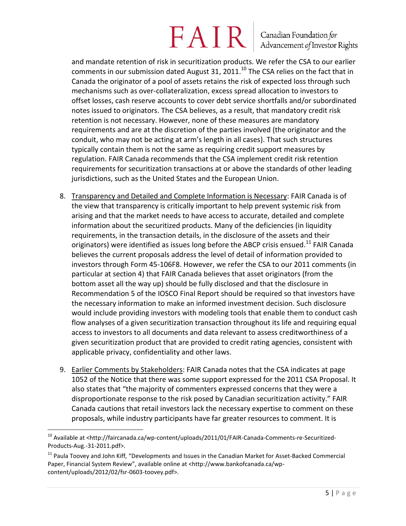## **FAIR** Canadian Foundation for

and mandate retention of risk in securitization products. We refer the CSA to our earlier comments in our submission dated August 31, 2011. $^{10}$  The CSA relies on the fact that in Canada the originator of a pool of assets retains the risk of expected loss through such mechanisms such as over-collateralization, excess spread allocation to investors to offset losses, cash reserve accounts to cover debt service shortfalls and/or subordinated notes issued to originators. The CSA believes, as a result, that mandatory credit risk retention is not necessary. However, none of these measures are mandatory requirements and are at the discretion of the parties involved (the originator and the conduit, who may not be acting at arm's length in all cases). That such structures typically contain them is not the same as requiring credit support measures by regulation. FAIR Canada recommends that the CSA implement credit risk retention requirements for securitization transactions at or above the standards of other leading jurisdictions, such as the United States and the European Union.

- 8. Transparency and Detailed and Complete Information is Necessary: FAIR Canada is of the view that transparency is critically important to help prevent systemic risk from arising and that the market needs to have access to accurate, detailed and complete information about the securitized products. Many of the deficiencies (in liquidity requirements, in the transaction details, in the disclosure of the assets and their originators) were identified as issues long before the ABCP crisis ensued.<sup>11</sup> FAIR Canada believes the current proposals address the level of detail of information provided to investors through Form 45-106F8. However, we refer the CSA to our 2011 comments (in particular at section 4) that FAIR Canada believes that asset originators (from the bottom asset all the way up) should be fully disclosed and that the disclosure in Recommendation 5 of the IOSCO Final Report should be required so that investors have the necessary information to make an informed investment decision. Such disclosure would include providing investors with modeling tools that enable them to conduct cash flow analyses of a given securitization transaction throughout its life and requiring equal access to investors to all documents and data relevant to assess creditworthiness of a given securitization product that are provided to credit rating agencies, consistent with applicable privacy, confidentiality and other laws.
- 9. Earlier Comments by Stakeholders: FAIR Canada notes that the CSA indicates at page 1052 of the Notice that there was some support expressed for the 2011 CSA Proposal. It also states that "the majority of commenters expressed concerns that they were a disproportionate response to the risk posed by Canadian securitization activity." FAIR Canada cautions that retail investors lack the necessary expertise to comment on these proposals, while industry participants have far greater resources to comment. It is

 $\overline{a}$ 

 $^{10}$  Available at <http://faircanada.ca/wp-content/uploads/2011/01/FAIR-Canada-Comments-re-Securitized-Products-Aug.-31-2011.pdf>.

<sup>&</sup>lt;sup>11</sup> Paula Toovey and John Kiff, "Developments and Issues in the Canadian Market for Asset-Backed Commercial Paper, Financial System Review", available online at <http://www.bankofcanada.ca/wpcontent/uploads/2012/02/fsr-0603-toovey.pdf>.